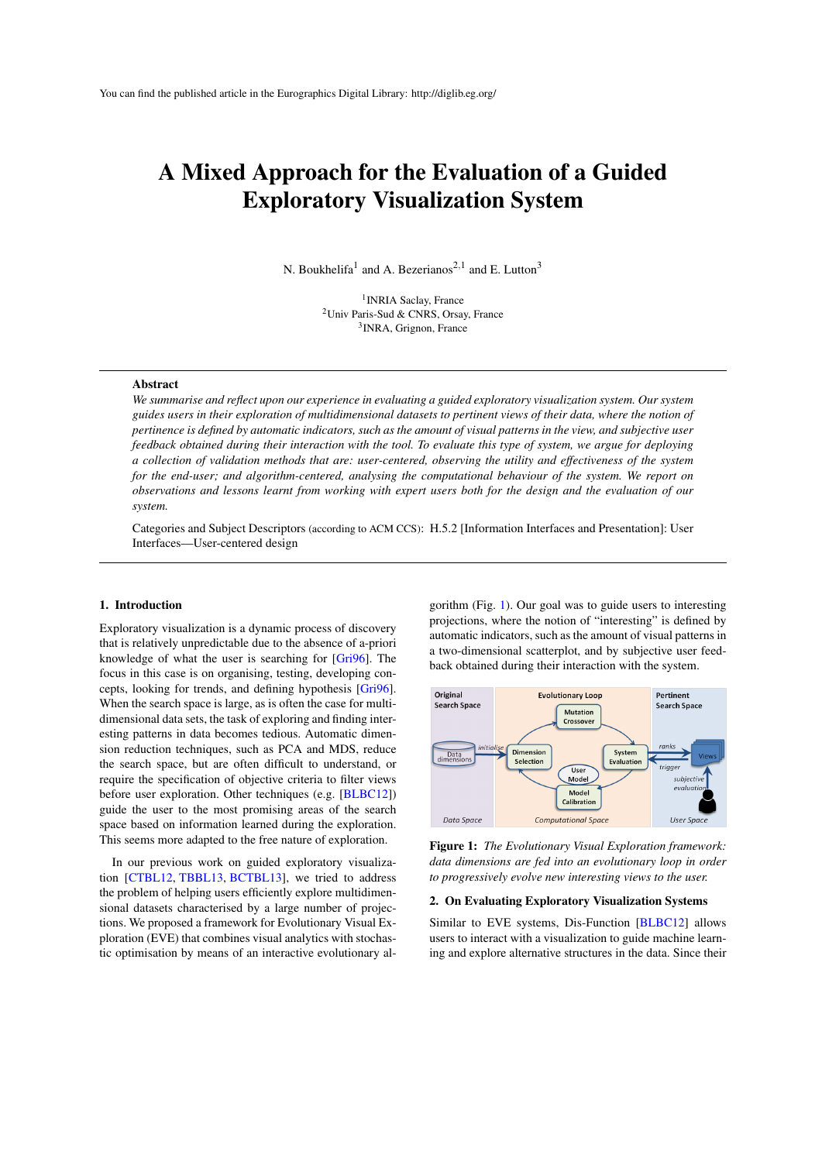# <span id="page-0-1"></span>A Mixed Approach for the Evaluation of a Guided Exploratory Visualization System

N. Boukhelifa<sup>1</sup> and A. Bezerianos<sup>2,1</sup> and E. Lutton<sup>3</sup>

<sup>1</sup> INRIA Saclay, France <sup>2</sup>Univ Paris-Sud & CNRS, Orsay, France 3 INRA, Grignon, France

#### Abstract

*We summarise and reflect upon our experience in evaluating a guided exploratory visualization system. Our system guides users in their exploration of multidimensional datasets to pertinent views of their data, where the notion of pertinence is defined by automatic indicators, such as the amount of visual patterns in the view, and subjective user feedback obtained during their interaction with the tool. To evaluate this type of system, we argue for deploying a collection of validation methods that are: user-centered, observing the utility and effectiveness of the system for the end-user; and algorithm-centered, analysing the computational behaviour of the system. We report on observations and lessons learnt from working with expert users both for the design and the evaluation of our system.*

Categories and Subject Descriptors (according to ACM CCS): H.5.2 [Information Interfaces and Presentation]: User Interfaces—User-centered design

## 1. Introduction

Exploratory visualization is a dynamic process of discovery that is relatively unpredictable due to the absence of a-priori knowledge of what the user is searching for [\[Gri96\]](#page-2-0). The focus in this case is on organising, testing, developing concepts, looking for trends, and defining hypothesis [\[Gri96\]](#page-2-0). When the search space is large, as is often the case for multidimensional data sets, the task of exploring and finding interesting patterns in data becomes tedious. Automatic dimension reduction techniques, such as PCA and MDS, reduce the search space, but are often difficult to understand, or require the specification of objective criteria to filter views before user exploration. Other techniques (e.g. [\[BLBC12\]](#page-2-1)) guide the user to the most promising areas of the search space based on information learned during the exploration. This seems more adapted to the free nature of exploration.

In our previous work on guided exploratory visualization [\[CTBL12,](#page-2-2) [TBBL13,](#page-2-3) [BCTBL13\]](#page-2-4), we tried to address the problem of helping users efficiently explore multidimensional datasets characterised by a large number of projections. We proposed a framework for Evolutionary Visual Exploration (EVE) that combines visual analytics with stochastic optimisation by means of an interactive evolutionary algorithm (Fig. [1\)](#page-0-0). Our goal was to guide users to interesting projections, where the notion of "interesting" is defined by automatic indicators, such as the amount of visual patterns in a two-dimensional scatterplot, and by subjective user feedback obtained during their interaction with the system.



<span id="page-0-0"></span>Figure 1: *The Evolutionary Visual Exploration framework: data dimensions are fed into an evolutionary loop in order to progressively evolve new interesting views to the user.*

#### 2. On Evaluating Exploratory Visualization Systems

Similar to EVE systems, Dis-Function [\[BLBC12\]](#page-2-1) allows users to interact with a visualization to guide machine learning and explore alternative structures in the data. Since their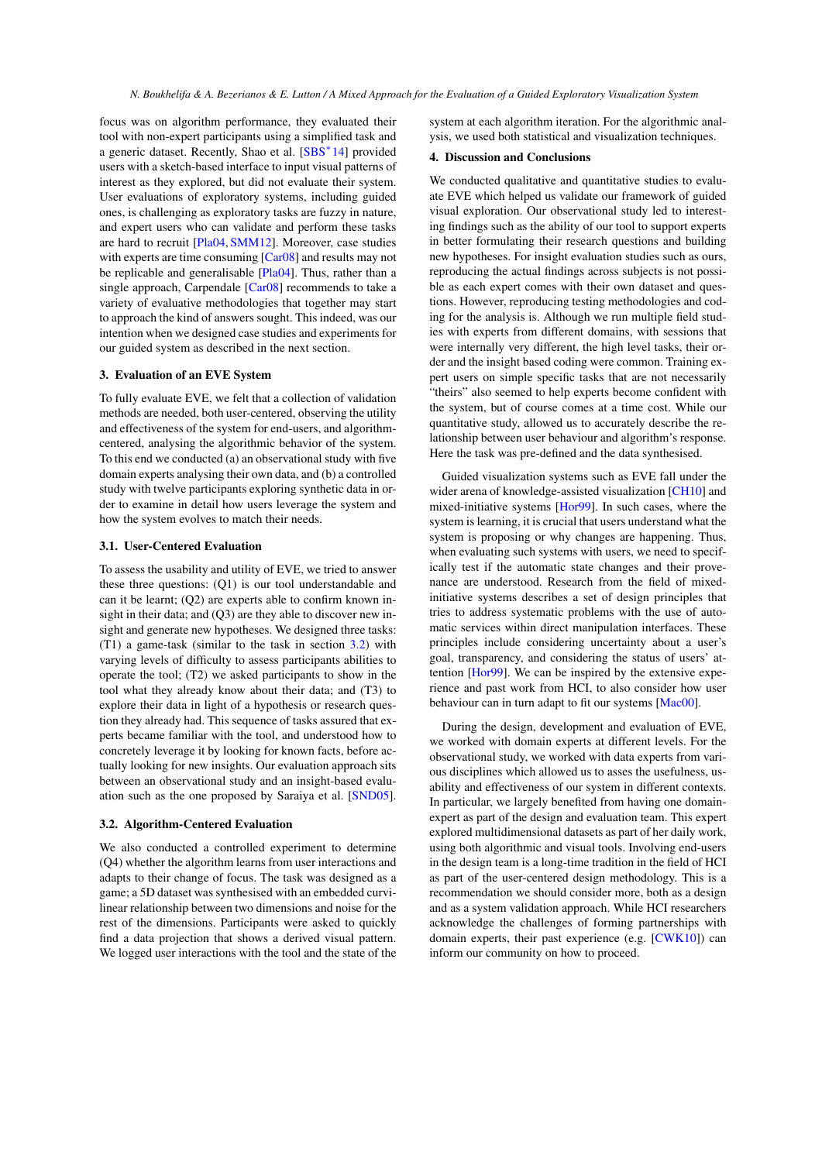<span id="page-1-1"></span>focus was on algorithm performance, they evaluated their tool with non-expert participants using a simplified task and a generic dataset. Recently, Shao et al. [\[SBS](#page-2-5)<sup>∗</sup> 14] provided users with a sketch-based interface to input visual patterns of interest as they explored, but did not evaluate their system. User evaluations of exploratory systems, including guided ones, is challenging as exploratory tasks are fuzzy in nature, and expert users who can validate and perform these tasks are hard to recruit [\[Pla04,](#page-2-6) [SMM12\]](#page-2-7). Moreover, case studies with experts are time consuming [\[Car08\]](#page-2-8) and results may not be replicable and generalisable [\[Pla04\]](#page-2-6). Thus, rather than a single approach, Carpendale [\[Car08\]](#page-2-8) recommends to take a variety of evaluative methodologies that together may start to approach the kind of answers sought. This indeed, was our intention when we designed case studies and experiments for our guided system as described in the next section.

## 3. Evaluation of an EVE System

To fully evaluate EVE, we felt that a collection of validation methods are needed, both user-centered, observing the utility and effectiveness of the system for end-users, and algorithmcentered, analysing the algorithmic behavior of the system. To this end we conducted (a) an observational study with five domain experts analysing their own data, and (b) a controlled study with twelve participants exploring synthetic data in order to examine in detail how users leverage the system and how the system evolves to match their needs.

### 3.1. User-Centered Evaluation

To assess the usability and utility of EVE, we tried to answer these three questions: (Q1) is our tool understandable and can it be learnt; (Q2) are experts able to confirm known insight in their data; and (Q3) are they able to discover new insight and generate new hypotheses. We designed three tasks: (T1) a game-task (similar to the task in section [3.2\)](#page-1-0) with varying levels of difficulty to assess participants abilities to operate the tool; (T2) we asked participants to show in the tool what they already know about their data; and (T3) to explore their data in light of a hypothesis or research question they already had. This sequence of tasks assured that experts became familiar with the tool, and understood how to concretely leverage it by looking for known facts, before actually looking for new insights. Our evaluation approach sits between an observational study and an insight-based evaluation such as the one proposed by Saraiya et al. [\[SND05\]](#page-2-9).

## <span id="page-1-0"></span>3.2. Algorithm-Centered Evaluation

We also conducted a controlled experiment to determine (Q4) whether the algorithm learns from user interactions and adapts to their change of focus. The task was designed as a game; a 5D dataset was synthesised with an embedded curvilinear relationship between two dimensions and noise for the rest of the dimensions. Participants were asked to quickly find a data projection that shows a derived visual pattern. We logged user interactions with the tool and the state of the

system at each algorithm iteration. For the algorithmic analysis, we used both statistical and visualization techniques.

## 4. Discussion and Conclusions

We conducted qualitative and quantitative studies to evaluate EVE which helped us validate our framework of guided visual exploration. Our observational study led to interesting findings such as the ability of our tool to support experts in better formulating their research questions and building new hypotheses. For insight evaluation studies such as ours, reproducing the actual findings across subjects is not possible as each expert comes with their own dataset and questions. However, reproducing testing methodologies and coding for the analysis is. Although we run multiple field studies with experts from different domains, with sessions that were internally very different, the high level tasks, their order and the insight based coding were common. Training expert users on simple specific tasks that are not necessarily "theirs" also seemed to help experts become confident with the system, but of course comes at a time cost. While our quantitative study, allowed us to accurately describe the relationship between user behaviour and algorithm's response. Here the task was pre-defined and the data synthesised.

Guided visualization systems such as EVE fall under the wider arena of knowledge-assisted visualization [\[CH10\]](#page-2-10) and mixed-initiative systems [\[Hor99\]](#page-2-11). In such cases, where the system is learning, it is crucial that users understand what the system is proposing or why changes are happening. Thus, when evaluating such systems with users, we need to specifically test if the automatic state changes and their provenance are understood. Research from the field of mixedinitiative systems describes a set of design principles that tries to address systematic problems with the use of automatic services within direct manipulation interfaces. These principles include considering uncertainty about a user's goal, transparency, and considering the status of users' attention [\[Hor99\]](#page-2-11). We can be inspired by the extensive experience and past work from HCI, to also consider how user behaviour can in turn adapt to fit our systems [\[Mac00\]](#page-2-12).

During the design, development and evaluation of EVE, we worked with domain experts at different levels. For the observational study, we worked with data experts from various disciplines which allowed us to asses the usefulness, usability and effectiveness of our system in different contexts. In particular, we largely benefited from having one domainexpert as part of the design and evaluation team. This expert explored multidimensional datasets as part of her daily work, using both algorithmic and visual tools. Involving end-users in the design team is a long-time tradition in the field of HCI as part of the user-centered design methodology. This is a recommendation we should consider more, both as a design and as a system validation approach. While HCI researchers acknowledge the challenges of forming partnerships with domain experts, their past experience (e.g. [\[CWK10\]](#page-2-13)) can inform our community on how to proceed.